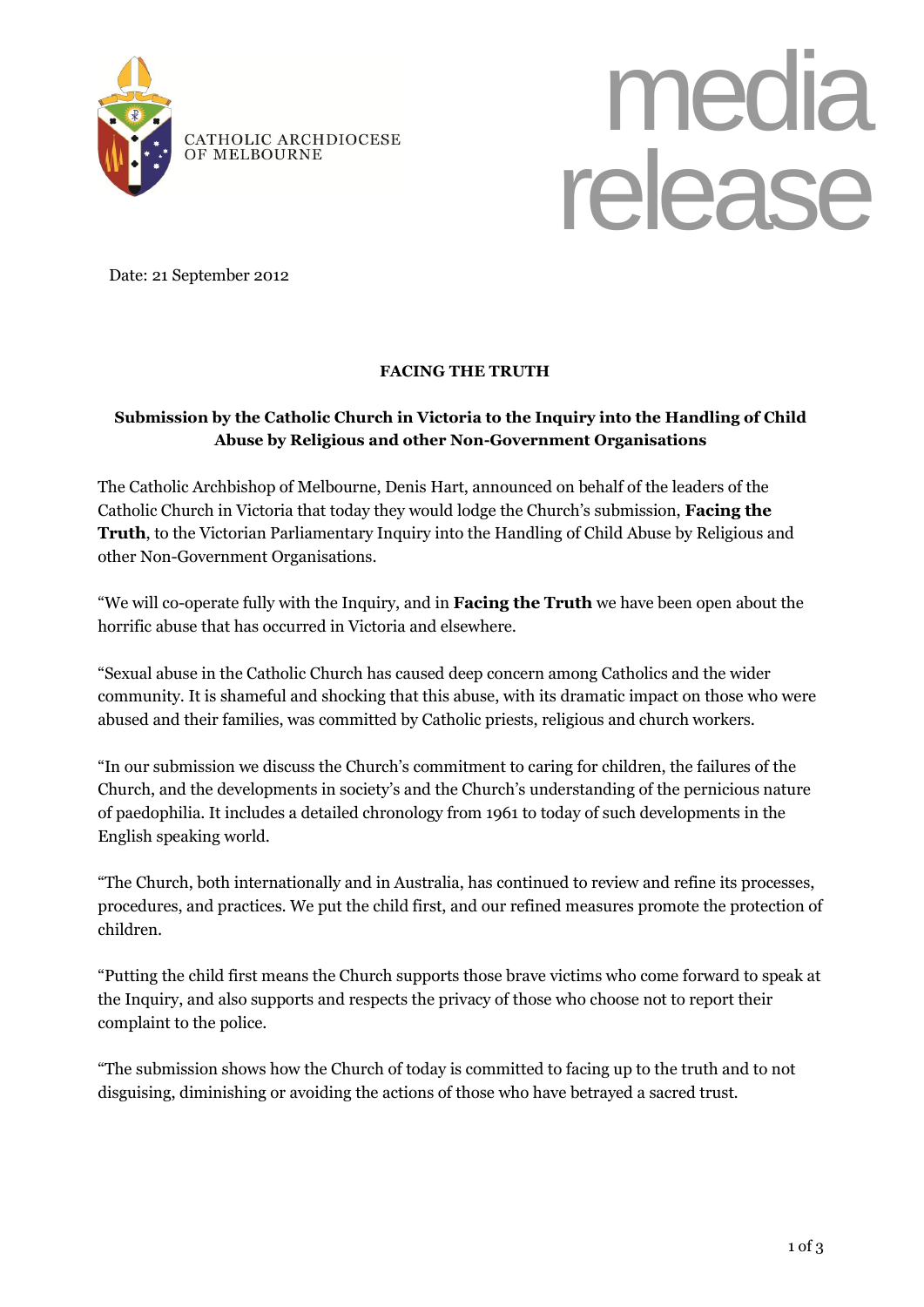



Date: 21 September 2012

## **FACING THE TRUTH**

## **Submission by the Catholic Church in Victoria to the Inquiry into the Handling of Child Abuse by Religious and other Non-Government Organisations**

The Catholic Archbishop of Melbourne, Denis Hart, announced on behalf of the leaders of the Catholic Church in Victoria that today they would lodge the Church's submission, **Facing the Truth**, to the Victorian Parliamentary Inquiry into the Handling of Child Abuse by Religious and other Non-Government Organisations.

"We will co-operate fully with the Inquiry, and in **Facing the Truth** we have been open about the horrific abuse that has occurred in Victoria and elsewhere.

"Sexual abuse in the Catholic Church has caused deep concern among Catholics and the wider community. It is shameful and shocking that this abuse, with its dramatic impact on those who were abused and their families, was committed by Catholic priests, religious and church workers.

"In our submission we discuss the Church's commitment to caring for children, the failures of the Church, and the developments in society's and the Church's understanding of the pernicious nature of paedophilia. It includes a detailed chronology from 1961 to today of such developments in the English speaking world.

"The Church, both internationally and in Australia, has continued to review and refine its processes, procedures, and practices. We put the child first, and our refined measures promote the protection of children.

"Putting the child first means the Church supports those brave victims who come forward to speak at the Inquiry, and also supports and respects the privacy of those who choose not to report their complaint to the police.

"The submission shows how the Church of today is committed to facing up to the truth and to not disguising, diminishing or avoiding the actions of those who have betrayed a sacred trust.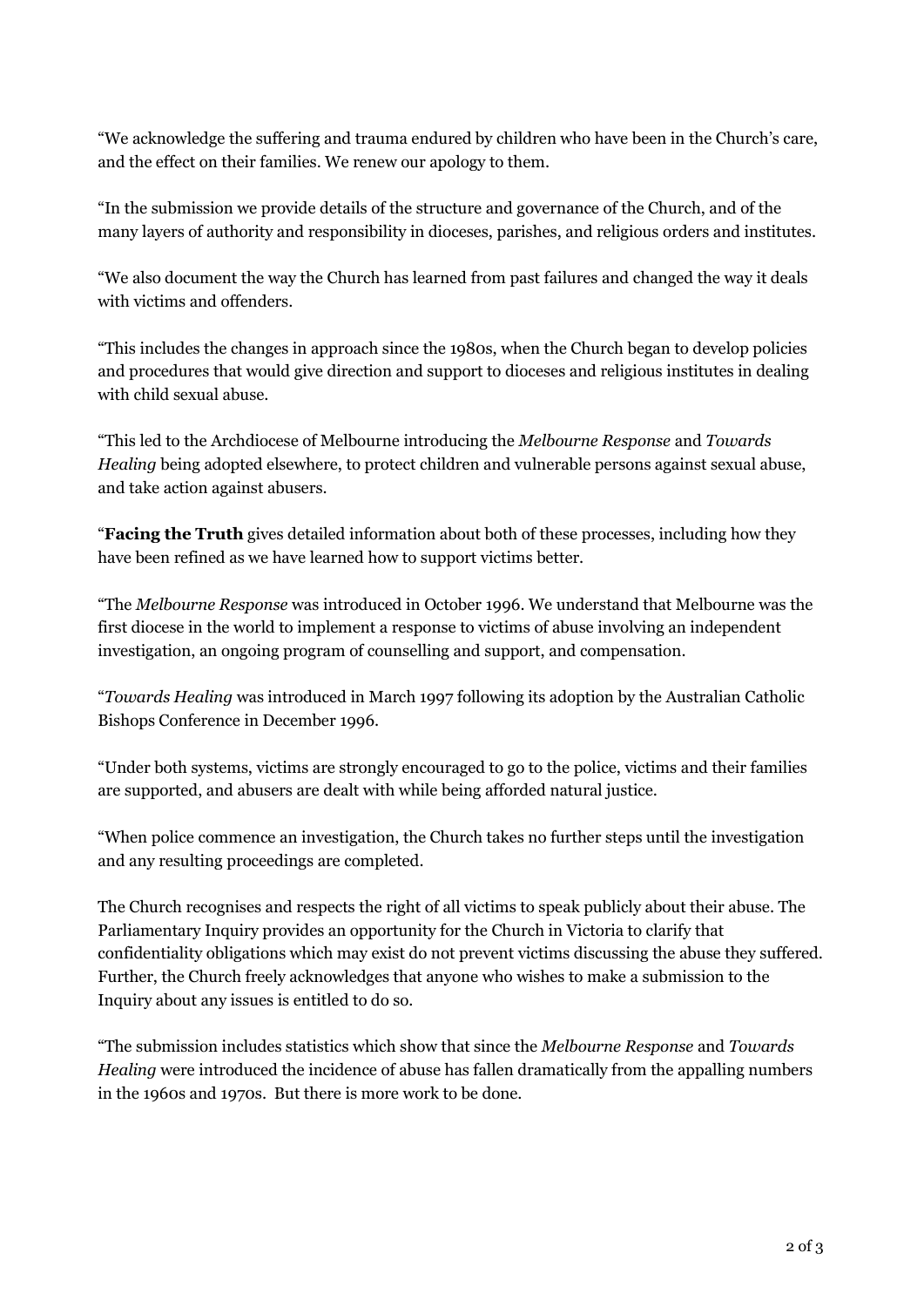"We acknowledge the suffering and trauma endured by children who have been in the Church's care, and the effect on their families. We renew our apology to them.

"In the submission we provide details of the structure and governance of the Church, and of the many layers of authority and responsibility in dioceses, parishes, and religious orders and institutes.

"We also document the way the Church has learned from past failures and changed the way it deals with victims and offenders.

"This includes the changes in approach since the 1980s, when the Church began to develop policies and procedures that would give direction and support to dioceses and religious institutes in dealing with child sexual abuse.

"This led to the Archdiocese of Melbourne introducing the *Melbourne Response* and *Towards Healing* being adopted elsewhere, to protect children and vulnerable persons against sexual abuse, and take action against abusers.

"**Facing the Truth** gives detailed information about both of these processes, including how they have been refined as we have learned how to support victims better.

"The *Melbourne Response* was introduced in October 1996. We understand that Melbourne was the first diocese in the world to implement a response to victims of abuse involving an independent investigation, an ongoing program of counselling and support, and compensation.

"*Towards Healing* was introduced in March 1997 following its adoption by the Australian Catholic Bishops Conference in December 1996.

"Under both systems, victims are strongly encouraged to go to the police, victims and their families are supported, and abusers are dealt with while being afforded natural justice.

"When police commence an investigation, the Church takes no further steps until the investigation and any resulting proceedings are completed.

The Church recognises and respects the right of all victims to speak publicly about their abuse. The Parliamentary Inquiry provides an opportunity for the Church in Victoria to clarify that confidentiality obligations which may exist do not prevent victims discussing the abuse they suffered. Further, the Church freely acknowledges that anyone who wishes to make a submission to the Inquiry about any issues is entitled to do so.

"The submission includes statistics which show that since the *Melbourne Response* and *Towards Healing* were introduced the incidence of abuse has fallen dramatically from the appalling numbers in the 1960s and 1970s. But there is more work to be done.